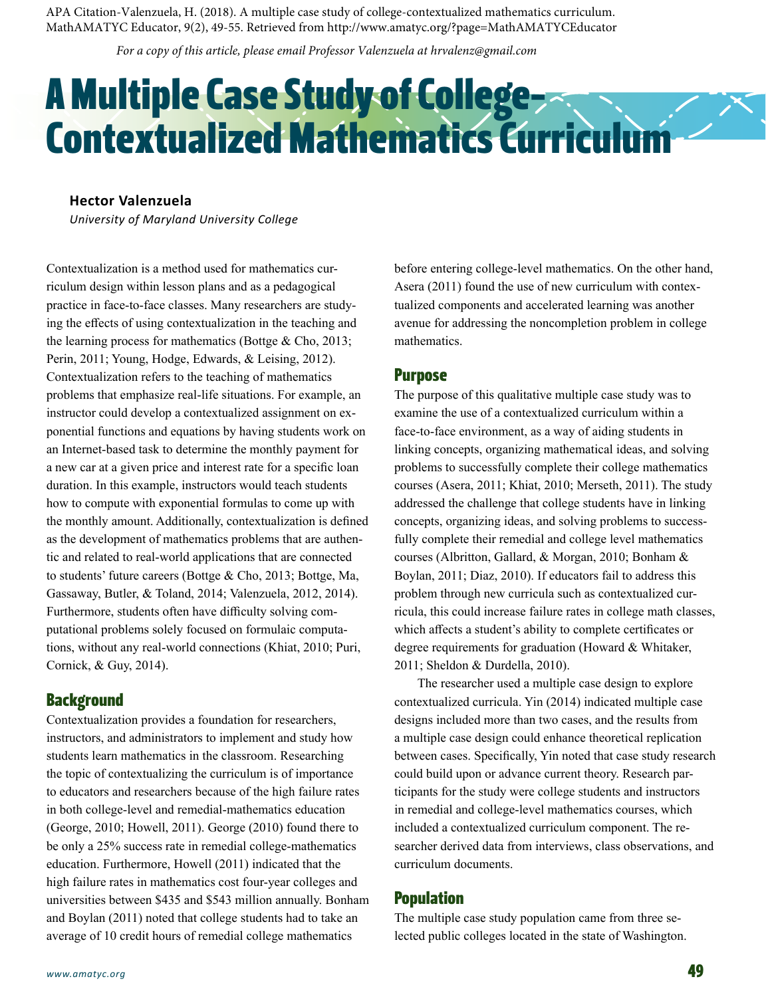APA Citation-Valenzuela, H. (2018). A multiple case study of college-contextualized mathematics curriculum. MathAMATYC Educator, 9(2), 49-55. Retrieved from http://www.amatyc.org/?page=MathAMATYCEducator

*For a copy of this article, please email Professor Valenzuela at hrvalenz@gmail.com*

# A Multiple Case Study of College-Contextualized Mathematics Curriculum

# **Hector Valenzuela**

*University of Maryland University College*

Contextualization is a method used for mathematics curriculum design within lesson plans and as a pedagogical practice in face-to-face classes. Many researchers are studying the effects of using contextualization in the teaching and the learning process for mathematics (Bottge & Cho, 2013; Perin, 2011; Young, Hodge, Edwards, & Leising, 2012). Contextualization refers to the teaching of mathematics problems that emphasize real-life situations. For example, an instructor could develop a contextualized assignment on exponential functions and equations by having students work on an Internet-based task to determine the monthly payment for a new car at a given price and interest rate for a specific loan duration. In this example, instructors would teach students how to compute with exponential formulas to come up with the monthly amount. Additionally, contextualization is defined as the development of mathematics problems that are authentic and related to real-world applications that are connected to students' future careers (Bottge & Cho, 2013; Bottge, Ma, Gassaway, Butler, & Toland, 2014; Valenzuela, 2012, 2014). Furthermore, students often have difficulty solving computational problems solely focused on formulaic computations, without any real-world connections (Khiat, 2010; Puri, Cornick, & Guy, 2014).

# **Background**

Contextualization provides a foundation for researchers, instructors, and administrators to implement and study how students learn mathematics in the classroom. Researching the topic of contextualizing the curriculum is of importance to educators and researchers because of the high failure rates in both college-level and remedial-mathematics education (George, 2010; Howell, 2011). George (2010) found there to be only a 25% success rate in remedial college-mathematics education. Furthermore, Howell (2011) indicated that the high failure rates in mathematics cost four-year colleges and universities between \$435 and \$543 million annually. Bonham and Boylan (2011) noted that college students had to take an average of 10 credit hours of remedial college mathematics

before entering college-level mathematics. On the other hand, Asera (2011) found the use of new curriculum with contextualized components and accelerated learning was another avenue for addressing the noncompletion problem in college mathematics.

## Purpose

The purpose of this qualitative multiple case study was to examine the use of a contextualized curriculum within a face-to-face environment, as a way of aiding students in linking concepts, organizing mathematical ideas, and solving problems to successfully complete their college mathematics courses (Asera, 2011; Khiat, 2010; Merseth, 2011). The study addressed the challenge that college students have in linking concepts, organizing ideas, and solving problems to successfully complete their remedial and college level mathematics courses (Albritton, Gallard, & Morgan, 2010; Bonham & Boylan, 2011; Diaz, 2010). If educators fail to address this problem through new curricula such as contextualized curricula, this could increase failure rates in college math classes, which affects a student's ability to complete certificates or degree requirements for graduation (Howard & Whitaker, 2011; Sheldon & Durdella, 2010).

The researcher used a multiple case design to explore contextualized curricula. Yin (2014) indicated multiple case designs included more than two cases, and the results from a multiple case design could enhance theoretical replication between cases. Specifically, Yin noted that case study research could build upon or advance current theory. Research participants for the study were college students and instructors in remedial and college-level mathematics courses, which included a contextualized curriculum component. The researcher derived data from interviews, class observations, and curriculum documents.

# Population

The multiple case study population came from three selected public colleges located in the state of Washington.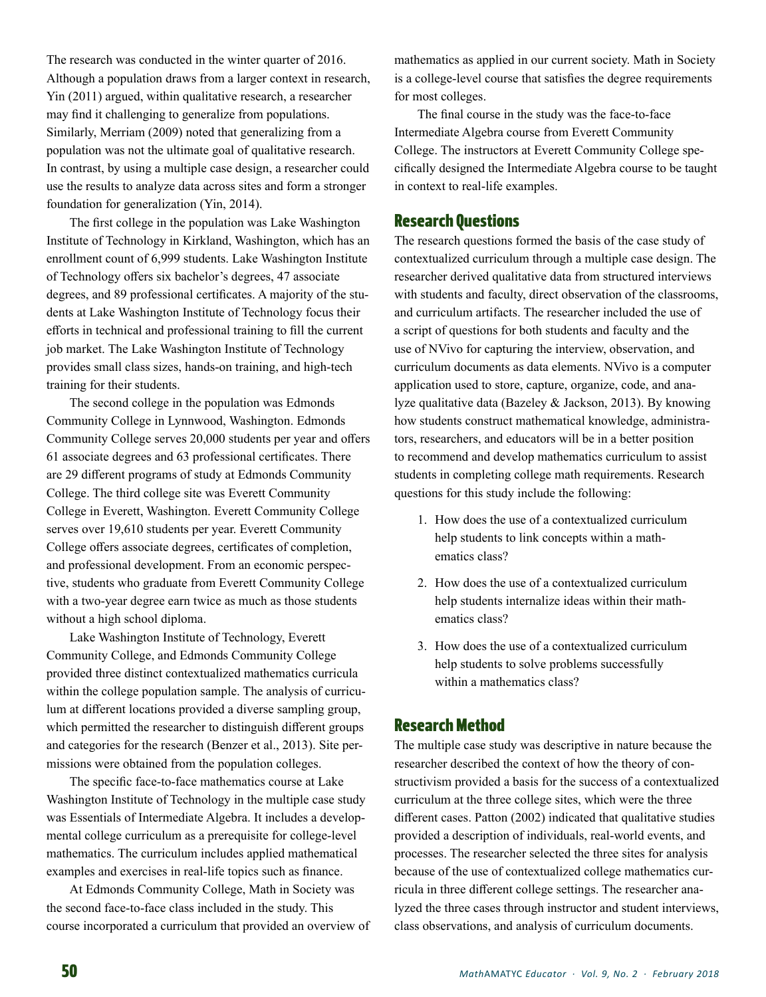The research was conducted in the winter quarter of 2016. Although a population draws from a larger context in research, Yin (2011) argued, within qualitative research, a researcher may find it challenging to generalize from populations. Similarly, Merriam (2009) noted that generalizing from a population was not the ultimate goal of qualitative research. In contrast, by using a multiple case design, a researcher could use the results to analyze data across sites and form a stronger foundation for generalization (Yin, 2014).

The first college in the population was Lake Washington Institute of Technology in Kirkland, Washington, which has an enrollment count of 6,999 students. Lake Washington Institute of Technology offers six bachelor's degrees, 47 associate degrees, and 89 professional certificates. A majority of the students at Lake Washington Institute of Technology focus their efforts in technical and professional training to fill the current job market. The Lake Washington Institute of Technology provides small class sizes, hands-on training, and high-tech training for their students.

The second college in the population was Edmonds Community College in Lynnwood, Washington. Edmonds Community College serves 20,000 students per year and offers 61 associate degrees and 63 professional certificates. There are 29 different programs of study at Edmonds Community College. The third college site was Everett Community College in Everett, Washington. Everett Community College serves over 19,610 students per year. Everett Community College offers associate degrees, certificates of completion, and professional development. From an economic perspective, students who graduate from Everett Community College with a two-year degree earn twice as much as those students without a high school diploma.

Lake Washington Institute of Technology, Everett Community College, and Edmonds Community College provided three distinct contextualized mathematics curricula within the college population sample. The analysis of curriculum at different locations provided a diverse sampling group, which permitted the researcher to distinguish different groups and categories for the research (Benzer et al., 2013). Site permissions were obtained from the population colleges.

The specific face-to-face mathematics course at Lake Washington Institute of Technology in the multiple case study was Essentials of Intermediate Algebra. It includes a developmental college curriculum as a prerequisite for college-level mathematics. The curriculum includes applied mathematical examples and exercises in real-life topics such as finance.

At Edmonds Community College, Math in Society was the second face-to-face class included in the study. This course incorporated a curriculum that provided an overview of

mathematics as applied in our current society. Math in Society is a college-level course that satisfies the degree requirements for most colleges.

The final course in the study was the face-to-face Intermediate Algebra course from Everett Community College. The instructors at Everett Community College specifically designed the Intermediate Algebra course to be taught in context to real-life examples.

# Research Questions

The research questions formed the basis of the case study of contextualized curriculum through a multiple case design. The researcher derived qualitative data from structured interviews with students and faculty, direct observation of the classrooms, and curriculum artifacts. The researcher included the use of a script of questions for both students and faculty and the use of NVivo for capturing the interview, observation, and curriculum documents as data elements. NVivo is a computer application used to store, capture, organize, code, and analyze qualitative data (Bazeley & Jackson, 2013). By knowing how students construct mathematical knowledge, administrators, researchers, and educators will be in a better position to recommend and develop mathematics curriculum to assist students in completing college math requirements. Research questions for this study include the following:

- 1. How does the use of a contextualized curriculum help students to link concepts within a mathematics class?
- 2. How does the use of a contextualized curriculum help students internalize ideas within their mathematics class?
- 3. How does the use of a contextualized curriculum help students to solve problems successfully within a mathematics class?

# Research Method

The multiple case study was descriptive in nature because the researcher described the context of how the theory of constructivism provided a basis for the success of a contextualized curriculum at the three college sites, which were the three different cases. Patton (2002) indicated that qualitative studies provided a description of individuals, real-world events, and processes. The researcher selected the three sites for analysis because of the use of contextualized college mathematics curricula in three different college settings. The researcher analyzed the three cases through instructor and student interviews, class observations, and analysis of curriculum documents.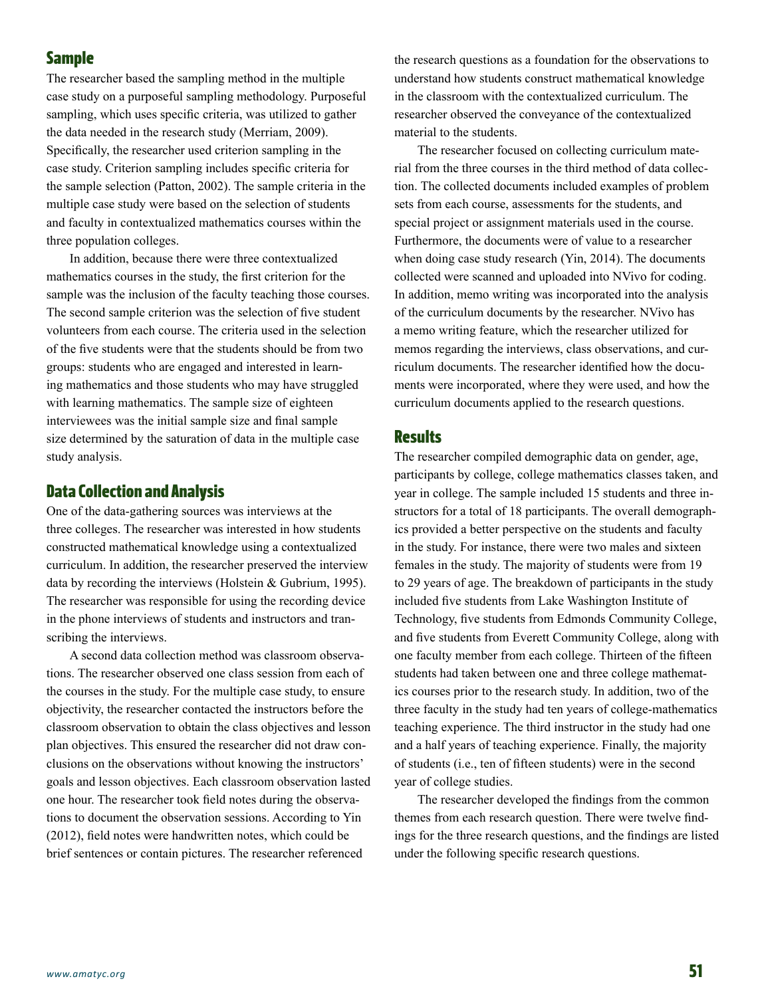# Sample

The researcher based the sampling method in the multiple case study on a purposeful sampling methodology. Purposeful sampling, which uses specific criteria, was utilized to gather the data needed in the research study (Merriam, 2009). Specifically, the researcher used criterion sampling in the case study. Criterion sampling includes specific criteria for the sample selection (Patton, 2002). The sample criteria in the multiple case study were based on the selection of students and faculty in contextualized mathematics courses within the three population colleges.

In addition, because there were three contextualized mathematics courses in the study, the first criterion for the sample was the inclusion of the faculty teaching those courses. The second sample criterion was the selection of five student volunteers from each course. The criteria used in the selection of the five students were that the students should be from two groups: students who are engaged and interested in learning mathematics and those students who may have struggled with learning mathematics. The sample size of eighteen interviewees was the initial sample size and final sample size determined by the saturation of data in the multiple case study analysis.

# Data Collection and Analysis

One of the data-gathering sources was interviews at the three colleges. The researcher was interested in how students constructed mathematical knowledge using a contextualized curriculum. In addition, the researcher preserved the interview data by recording the interviews (Holstein & Gubrium, 1995). The researcher was responsible for using the recording device in the phone interviews of students and instructors and transcribing the interviews.

A second data collection method was classroom observations. The researcher observed one class session from each of the courses in the study. For the multiple case study, to ensure objectivity, the researcher contacted the instructors before the classroom observation to obtain the class objectives and lesson plan objectives. This ensured the researcher did not draw conclusions on the observations without knowing the instructors' goals and lesson objectives. Each classroom observation lasted one hour. The researcher took field notes during the observations to document the observation sessions. According to Yin (2012), field notes were handwritten notes, which could be brief sentences or contain pictures. The researcher referenced

the research questions as a foundation for the observations to understand how students construct mathematical knowledge in the classroom with the contextualized curriculum. The researcher observed the conveyance of the contextualized material to the students.

The researcher focused on collecting curriculum material from the three courses in the third method of data collection. The collected documents included examples of problem sets from each course, assessments for the students, and special project or assignment materials used in the course. Furthermore, the documents were of value to a researcher when doing case study research (Yin, 2014). The documents collected were scanned and uploaded into NVivo for coding. In addition, memo writing was incorporated into the analysis of the curriculum documents by the researcher. NVivo has a memo writing feature, which the researcher utilized for memos regarding the interviews, class observations, and curriculum documents. The researcher identified how the documents were incorporated, where they were used, and how the curriculum documents applied to the research questions.

# **Results**

The researcher compiled demographic data on gender, age, participants by college, college mathematics classes taken, and year in college. The sample included 15 students and three instructors for a total of 18 participants. The overall demographics provided a better perspective on the students and faculty in the study. For instance, there were two males and sixteen females in the study. The majority of students were from 19 to 29 years of age. The breakdown of participants in the study included five students from Lake Washington Institute of Technology, five students from Edmonds Community College, and five students from Everett Community College, along with one faculty member from each college. Thirteen of the fifteen students had taken between one and three college mathematics courses prior to the research study. In addition, two of the three faculty in the study had ten years of college-mathematics teaching experience. The third instructor in the study had one and a half years of teaching experience. Finally, the majority of students (i.e., ten of fifteen students) were in the second year of college studies.

The researcher developed the findings from the common themes from each research question. There were twelve findings for the three research questions, and the findings are listed under the following specific research questions.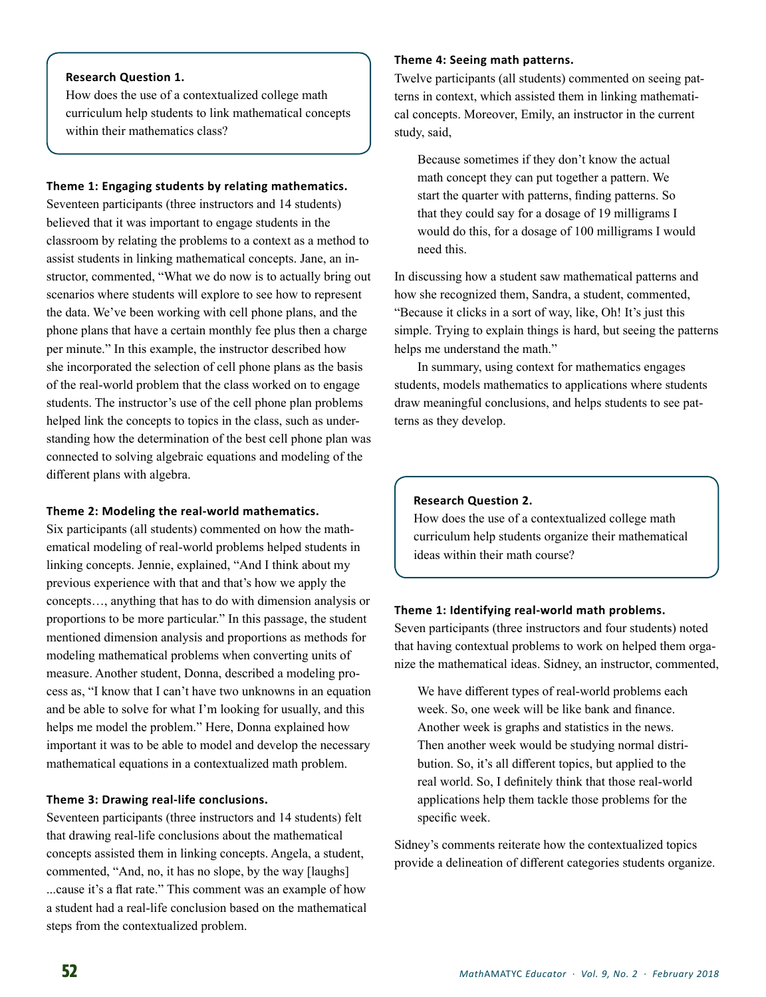# **Research Question 1.**

How does the use of a contextualized college math curriculum help students to link mathematical concepts within their mathematics class?

#### **Theme 1: Engaging students by relating mathematics.**

Seventeen participants (three instructors and 14 students) believed that it was important to engage students in the classroom by relating the problems to a context as a method to assist students in linking mathematical concepts. Jane, an instructor, commented, "What we do now is to actually bring out scenarios where students will explore to see how to represent the data. We've been working with cell phone plans, and the phone plans that have a certain monthly fee plus then a charge per minute." In this example, the instructor described how she incorporated the selection of cell phone plans as the basis of the real-world problem that the class worked on to engage students. The instructor's use of the cell phone plan problems helped link the concepts to topics in the class, such as understanding how the determination of the best cell phone plan was connected to solving algebraic equations and modeling of the different plans with algebra.

## **Theme 2: Modeling the real-world mathematics.**

Six participants (all students) commented on how the mathematical modeling of real-world problems helped students in linking concepts. Jennie, explained, "And I think about my previous experience with that and that's how we apply the concepts…, anything that has to do with dimension analysis or proportions to be more particular." In this passage, the student mentioned dimension analysis and proportions as methods for modeling mathematical problems when converting units of measure. Another student, Donna, described a modeling process as, "I know that I can't have two unknowns in an equation and be able to solve for what I'm looking for usually, and this helps me model the problem." Here, Donna explained how important it was to be able to model and develop the necessary mathematical equations in a contextualized math problem.

## **Theme 3: Drawing real-life conclusions.**

Seventeen participants (three instructors and 14 students) felt that drawing real-life conclusions about the mathematical concepts assisted them in linking concepts. Angela, a student, commented, "And, no, it has no slope, by the way [laughs] ...cause it's a flat rate." This comment was an example of how a student had a real-life conclusion based on the mathematical steps from the contextualized problem.

# **Theme 4: Seeing math patterns.**

Twelve participants (all students) commented on seeing patterns in context, which assisted them in linking mathematical concepts. Moreover, Emily, an instructor in the current study, said,

Because sometimes if they don't know the actual math concept they can put together a pattern. We start the quarter with patterns, finding patterns. So that they could say for a dosage of 19 milligrams I would do this, for a dosage of 100 milligrams I would need this.

In discussing how a student saw mathematical patterns and how she recognized them, Sandra, a student, commented, "Because it clicks in a sort of way, like, Oh! It's just this simple. Trying to explain things is hard, but seeing the patterns helps me understand the math."

In summary, using context for mathematics engages students, models mathematics to applications where students draw meaningful conclusions, and helps students to see patterns as they develop.

#### **Research Question 2.**

How does the use of a contextualized college math curriculum help students organize their mathematical ideas within their math course?

#### **Theme 1: Identifying real-world math problems.**

Seven participants (three instructors and four students) noted that having contextual problems to work on helped them organize the mathematical ideas. Sidney, an instructor, commented,

We have different types of real-world problems each week. So, one week will be like bank and finance. Another week is graphs and statistics in the news. Then another week would be studying normal distribution. So, it's all different topics, but applied to the real world. So, I definitely think that those real-world applications help them tackle those problems for the specific week.

Sidney's comments reiterate how the contextualized topics provide a delineation of different categories students organize.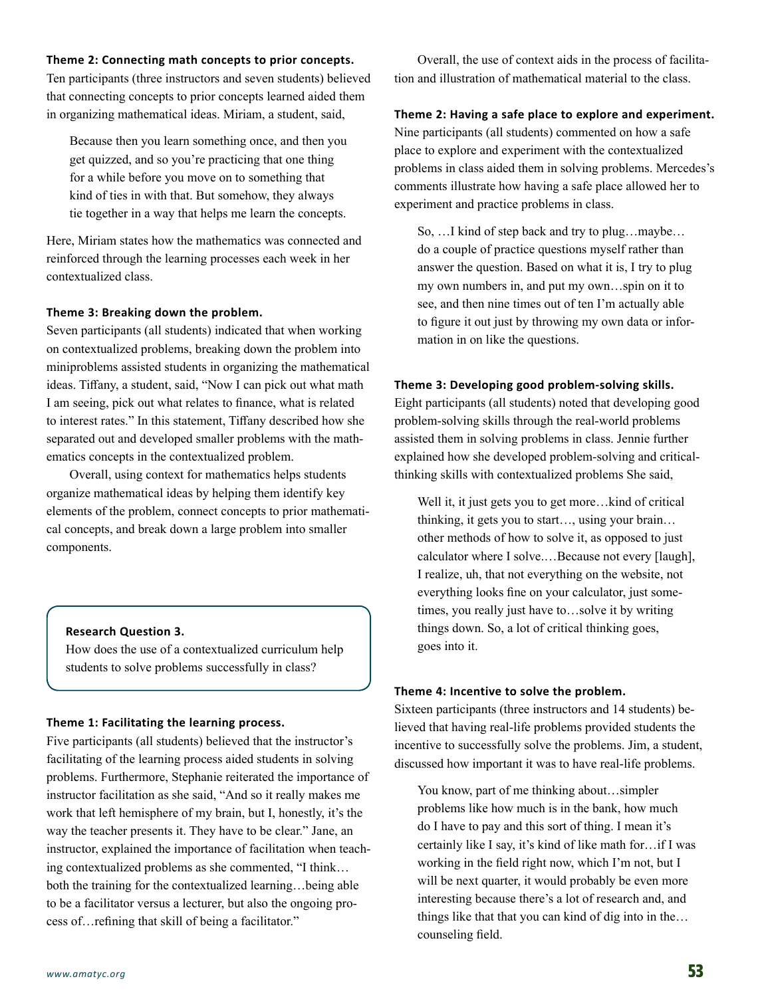# **Theme 2: Connecting math concepts to prior concepts.**

Ten participants (three instructors and seven students) believed that connecting concepts to prior concepts learned aided them in organizing mathematical ideas. Miriam, a student, said,

Because then you learn something once, and then you get quizzed, and so you're practicing that one thing for a while before you move on to something that kind of ties in with that. But somehow, they always tie together in a way that helps me learn the concepts.

Here, Miriam states how the mathematics was connected and reinforced through the learning processes each week in her contextualized class.

#### **Theme 3: Breaking down the problem.**

Seven participants (all students) indicated that when working on contextualized problems, breaking down the problem into miniproblems assisted students in organizing the mathematical ideas. Tiffany, a student, said, "Now I can pick out what math I am seeing, pick out what relates to finance, what is related to interest rates." In this statement, Tiffany described how she separated out and developed smaller problems with the mathematics concepts in the contextualized problem.

Overall, using context for mathematics helps students organize mathematical ideas by helping them identify key elements of the problem, connect concepts to prior mathematical concepts, and break down a large problem into smaller components.

#### **Research Question 3.**

How does the use of a contextualized curriculum help students to solve problems successfully in class?

#### **Theme 1: Facilitating the learning process.**

Five participants (all students) believed that the instructor's facilitating of the learning process aided students in solving problems. Furthermore, Stephanie reiterated the importance of instructor facilitation as she said, "And so it really makes me work that left hemisphere of my brain, but I, honestly, it's the way the teacher presents it. They have to be clear." Jane, an instructor, explained the importance of facilitation when teaching contextualized problems as she commented, "I think… both the training for the contextualized learning…being able to be a facilitator versus a lecturer, but also the ongoing process of…refining that skill of being a facilitator."

Overall, the use of context aids in the process of facilitation and illustration of mathematical material to the class.

## **Theme 2: Having a safe place to explore and experiment.**

Nine participants (all students) commented on how a safe place to explore and experiment with the contextualized problems in class aided them in solving problems. Mercedes's comments illustrate how having a safe place allowed her to experiment and practice problems in class.

So, …I kind of step back and try to plug…maybe… do a couple of practice questions myself rather than answer the question. Based on what it is, I try to plug my own numbers in, and put my own…spin on it to see, and then nine times out of ten I'm actually able to figure it out just by throwing my own data or information in on like the questions.

#### **Theme 3: Developing good problem-solving skills.**

Eight participants (all students) noted that developing good problem-solving skills through the real-world problems assisted them in solving problems in class. Jennie further explained how she developed problem-solving and criticalthinking skills with contextualized problems She said,

Well it, it just gets you to get more...kind of critical thinking, it gets you to start…, using your brain… other methods of how to solve it, as opposed to just calculator where I solve.…Because not every [laugh], I realize, uh, that not everything on the website, not everything looks fine on your calculator, just sometimes, you really just have to…solve it by writing things down. So, a lot of critical thinking goes, goes into it.

#### **Theme 4: Incentive to solve the problem.**

Sixteen participants (three instructors and 14 students) believed that having real-life problems provided students the incentive to successfully solve the problems. Jim, a student, discussed how important it was to have real-life problems.

You know, part of me thinking about…simpler problems like how much is in the bank, how much do I have to pay and this sort of thing. I mean it's certainly like I say, it's kind of like math for…if I was working in the field right now, which I'm not, but I will be next quarter, it would probably be even more interesting because there's a lot of research and, and things like that that you can kind of dig into in the… counseling field.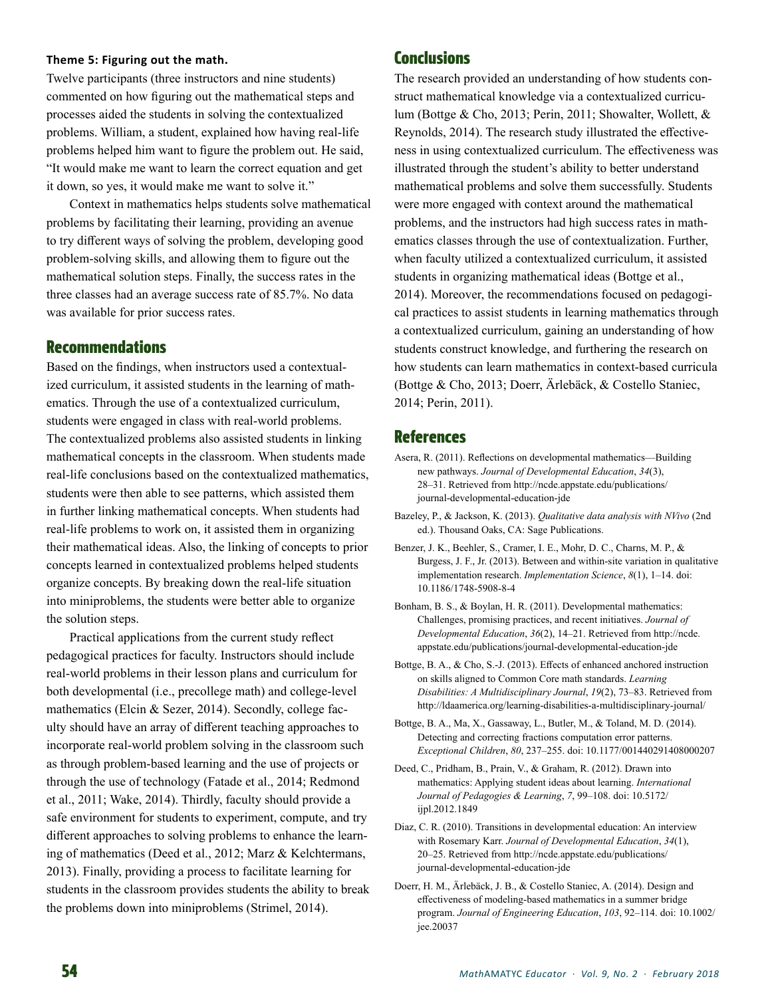# **Theme 5: Figuring out the math.**

Twelve participants (three instructors and nine students) commented on how figuring out the mathematical steps and processes aided the students in solving the contextualized problems. William, a student, explained how having real-life problems helped him want to figure the problem out. He said, "It would make me want to learn the correct equation and get it down, so yes, it would make me want to solve it."

Context in mathematics helps students solve mathematical problems by facilitating their learning, providing an avenue to try different ways of solving the problem, developing good problem-solving skills, and allowing them to figure out the mathematical solution steps. Finally, the success rates in the three classes had an average success rate of 85.7%. No data was available for prior success rates.

# Recommendations

Based on the findings, when instructors used a contextualized curriculum, it assisted students in the learning of mathematics. Through the use of a contextualized curriculum, students were engaged in class with real-world problems. The contextualized problems also assisted students in linking mathematical concepts in the classroom. When students made real-life conclusions based on the contextualized mathematics, students were then able to see patterns, which assisted them in further linking mathematical concepts. When students had real-life problems to work on, it assisted them in organizing their mathematical ideas. Also, the linking of concepts to prior concepts learned in contextualized problems helped students organize concepts. By breaking down the real-life situation into miniproblems, the students were better able to organize the solution steps.

Practical applications from the current study reflect pedagogical practices for faculty. Instructors should include real-world problems in their lesson plans and curriculum for both developmental (i.e., precollege math) and college-level mathematics (Elcin & Sezer, 2014). Secondly, college faculty should have an array of different teaching approaches to incorporate real-world problem solving in the classroom such as through problem-based learning and the use of projects or through the use of technology (Fatade et al., 2014; Redmond et al., 2011; Wake, 2014). Thirdly, faculty should provide a safe environment for students to experiment, compute, and try different approaches to solving problems to enhance the learning of mathematics (Deed et al., 2012; Marz & Kelchtermans, 2013). Finally, providing a process to facilitate learning for students in the classroom provides students the ability to break the problems down into miniproblems (Strimel, 2014).

# **Conclusions**

The research provided an understanding of how students construct mathematical knowledge via a contextualized curriculum (Bottge & Cho, 2013; Perin, 2011; Showalter, Wollett, & Reynolds, 2014). The research study illustrated the effectiveness in using contextualized curriculum. The effectiveness was illustrated through the student's ability to better understand mathematical problems and solve them successfully. Students were more engaged with context around the mathematical problems, and the instructors had high success rates in mathematics classes through the use of contextualization. Further, when faculty utilized a contextualized curriculum, it assisted students in organizing mathematical ideas (Bottge et al., 2014). Moreover, the recommendations focused on pedagogical practices to assist students in learning mathematics through a contextualized curriculum, gaining an understanding of how students construct knowledge, and furthering the research on how students can learn mathematics in context-based curricula (Bottge & Cho, 2013; Doerr, Ärlebäck, & Costello Staniec, 2014; Perin, 2011).

# References

- Asera, R. (2011). Reflections on developmental mathematics—Building new pathways. *Journal of Developmental Education*, *34*(3), 28–31. Retrieved from http://ncde.appstate.edu/publications/ journal-developmental-education-jde
- Bazeley, P., & Jackson, K. (2013). *Qualitative data analysis with NVivo* (2nd ed.). Thousand Oaks, CA: Sage Publications.
- Benzer, J. K., Beehler, S., Cramer, I. E., Mohr, D. C., Charns, M. P., & Burgess, J. F., Jr. (2013). Between and within-site variation in qualitative implementation research. *Implementation Science*, *8*(1), 1–14. doi: 10.1186/1748-5908-8-4
- Bonham, B. S., & Boylan, H. R. (2011). Developmental mathematics: Challenges, promising practices, and recent initiatives. *Journal of Developmental Education*, *36*(2), 14–21. Retrieved from http://ncde. appstate.edu/publications/journal-developmental-education-jde
- Bottge, B. A., & Cho, S.-J. (2013). Effects of enhanced anchored instruction on skills aligned to Common Core math standards. *Learning Disabilities: A Multidisciplinary Journal*, *19*(2), 73–83. Retrieved from http://ldaamerica.org/learning-disabilities-a-multidisciplinary-journal/
- Bottge, B. A., Ma, X., Gassaway, L., Butler, M., & Toland, M. D. (2014). Detecting and correcting fractions computation error patterns. *Exceptional Children*, *80*, 237–255. doi: 10.1177/001440291408000207
- Deed, C., Pridham, B., Prain, V., & Graham, R. (2012). Drawn into mathematics: Applying student ideas about learning. *International Journal of Pedagogies & Learning*, *7*, 99–108. doi: 10.5172/ ijpl.2012.1849
- Diaz, C. R. (2010). Transitions in developmental education: An interview with Rosemary Karr. *Journal of Developmental Education*, *34*(1), 20–25. Retrieved from http://ncde.appstate.edu/publications/ journal-developmental-education-jde
- Doerr, H. M., Ärlebäck, J. B., & Costello Staniec, A. (2014). Design and effectiveness of modeling-based mathematics in a summer bridge program. *Journal of Engineering Education*, *103*, 92–114. doi: 10.1002/ jee.20037